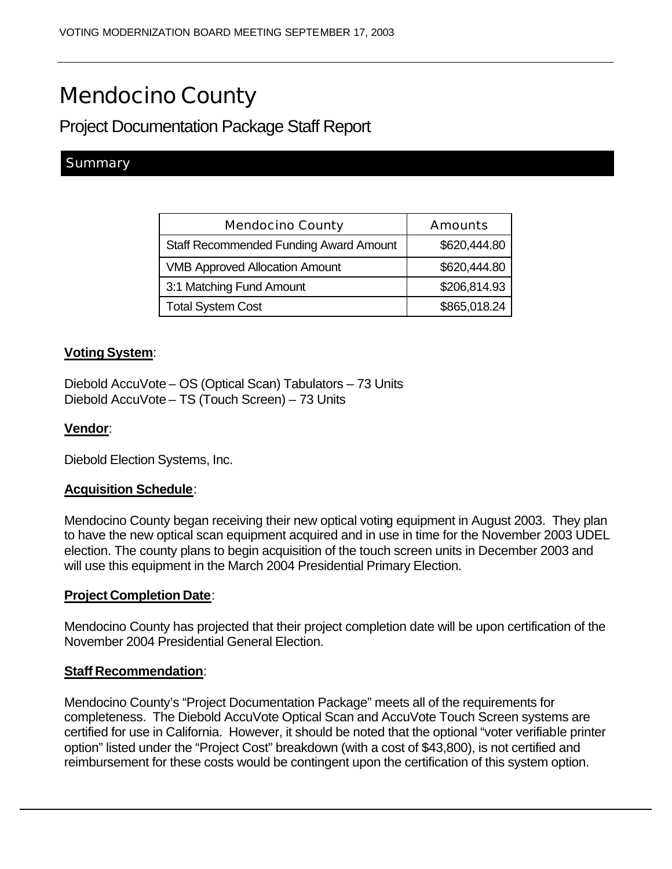# Mendocino County

# Project Documentation Package Staff Report

# **Summary**

| <b>Mendocino County</b>                       | Amounts      |
|-----------------------------------------------|--------------|
| <b>Staff Recommended Funding Award Amount</b> | \$620,444.80 |
| <b>VMB Approved Allocation Amount</b>         | \$620,444.80 |
| 3:1 Matching Fund Amount                      | \$206,814.93 |
| <b>Total System Cost</b>                      | \$865,018.24 |

## **Voting System**:

Diebold AccuVote – OS (Optical Scan) Tabulators – 73 Units Diebold AccuVote – TS (Touch Screen) – 73 Units

### **Vendor**:

Diebold Election Systems, Inc.

### **Acquisition Schedule**:

Mendocino County began receiving their new optical voting equipment in August 2003. They plan to have the new optical scan equipment acquired and in use in time for the November 2003 UDEL election. The county plans to begin acquisition of the touch screen units in December 2003 and will use this equipment in the March 2004 Presidential Primary Election.

### **Project Completion Date**:

Mendocino County has projected that their project completion date will be upon certification of the November 2004 Presidential General Election.

### **Staff Recommendation**:

Mendocino County's "Project Documentation Package" meets all of the requirements for completeness. The Diebold AccuVote Optical Scan and AccuVote Touch Screen systems are certified for use in California. However, it should be noted that the optional "voter verifiable printer option" listed under the "Project Cost" breakdown (with a cost of \$43,800), is not certified and reimbursement for these costs would be contingent upon the certification of this system option.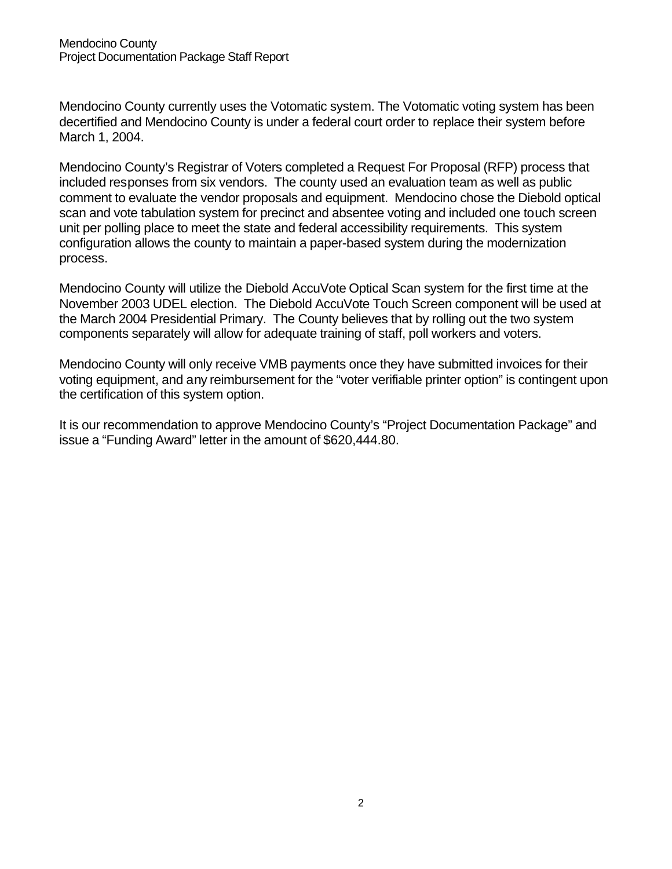Mendocino County currently uses the Votomatic system. The Votomatic voting system has been decertified and Mendocino County is under a federal court order to replace their system before March 1, 2004.

Mendocino County's Registrar of Voters completed a Request For Proposal (RFP) process that included responses from six vendors. The county used an evaluation team as well as public comment to evaluate the vendor proposals and equipment. Mendocino chose the Diebold optical scan and vote tabulation system for precinct and absentee voting and included one touch screen unit per polling place to meet the state and federal accessibility requirements. This system configuration allows the county to maintain a paper-based system during the modernization process.

Mendocino County will utilize the Diebold AccuVote Optical Scan system for the first time at the November 2003 UDEL election. The Diebold AccuVote Touch Screen component will be used at the March 2004 Presidential Primary. The County believes that by rolling out the two system components separately will allow for adequate training of staff, poll workers and voters.

Mendocino County will only receive VMB payments once they have submitted invoices for their voting equipment, and any reimbursement for the "voter verifiable printer option" is contingent upon the certification of this system option.

It is our recommendation to approve Mendocino County's "Project Documentation Package" and issue a "Funding Award" letter in the amount of \$620,444.80.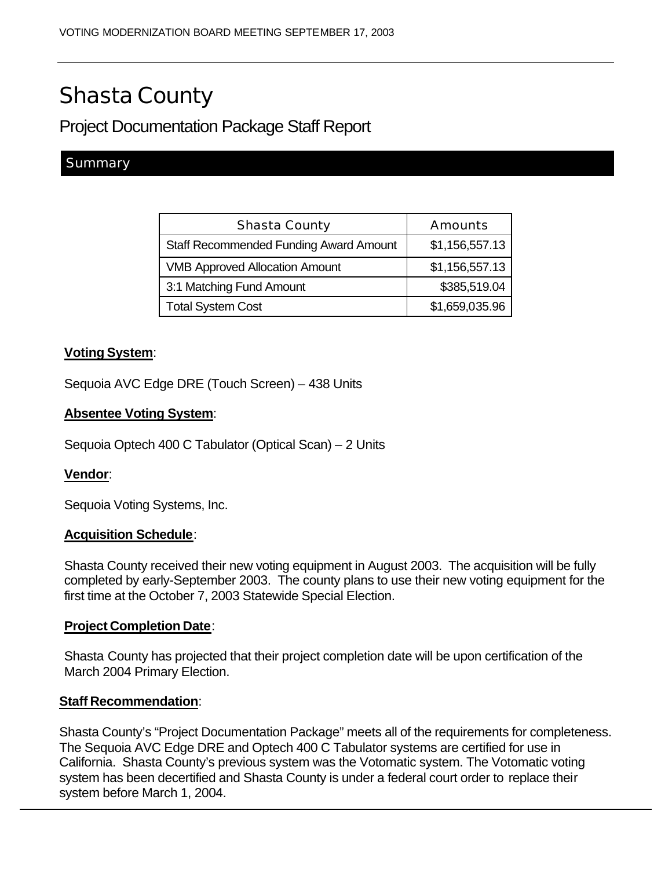# Shasta County

# Project Documentation Package Staff Report

# **Summary**

| Shasta County                                 | Amounts        |
|-----------------------------------------------|----------------|
| <b>Staff Recommended Funding Award Amount</b> | \$1,156,557.13 |
| <b>VMB Approved Allocation Amount</b>         | \$1,156,557.13 |
| 3:1 Matching Fund Amount                      | \$385,519.04   |
| <b>Total System Cost</b>                      | \$1,659,035.96 |

# **Voting System**:

Sequoia AVC Edge DRE (Touch Screen) – 438 Units

# **Absentee Voting System**:

Sequoia Optech 400 C Tabulator (Optical Scan) – 2 Units

# **Vendor**:

Sequoia Voting Systems, Inc.

### **Acquisition Schedule**:

Shasta County received their new voting equipment in August 2003. The acquisition will be fully completed by early-September 2003. The county plans to use their new voting equipment for the first time at the October 7, 2003 Statewide Special Election.

### **Project Completion Date**:

Shasta County has projected that their project completion date will be upon certification of the March 2004 Primary Election.

### **Staff Recommendation**:

Shasta County's "Project Documentation Package" meets all of the requirements for completeness. The Sequoia AVC Edge DRE and Optech 400 C Tabulator systems are certified for use in California. Shasta County's previous system was the Votomatic system. The Votomatic voting system has been decertified and Shasta County is under a federal court order to replace their system before March 1, 2004.